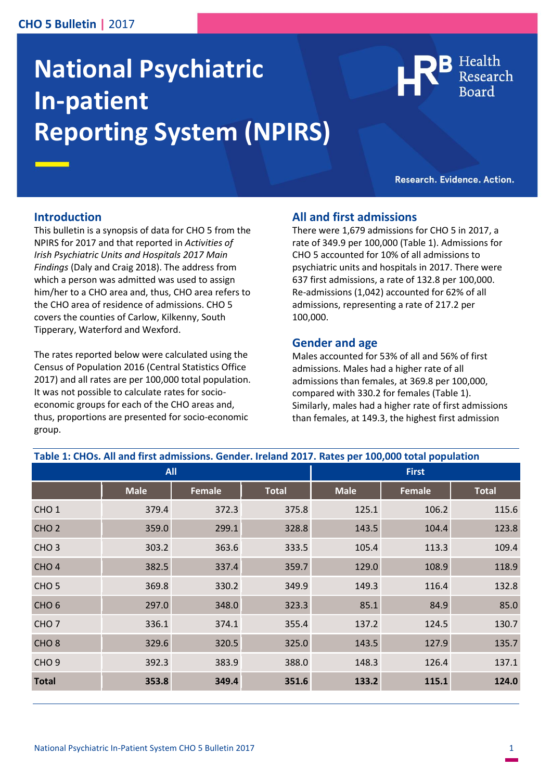### **CHO 5 Bulletin |** 2017

# **National Psychiatric In-patient Reporting System (NPIRS)**

Health

Research. Evidence. Action.

#### **Introduction**

This bulletin is a synopsis of data for CHO 5 from the NPIRS for 2017 and that reported in *Activities of Irish Psychiatric Units and Hospitals 2017 Main Findings* (Daly and Craig 2018). The address from which a person was admitted was used to assign him/her to a CHO area and, thus, CHO area refers to the CHO area of residence of admissions. CHO 5 covers the counties of Carlow, Kilkenny, South Tipperary, Waterford and Wexford.

The rates reported below were calculated using the Census of Population 2016 (Central Statistics Office 2017) and all rates are per 100,000 total population. It was not possible to calculate rates for socioeconomic groups for each of the CHO areas and, thus, proportions are presented for socio-economic group.

#### **All and first admissions**

There were 1,679 admissions for CHO 5 in 2017, a rate of 349.9 per 100,000 (Table 1). Admissions for CHO 5 accounted for 10% of all admissions to psychiatric units and hospitals in 2017. There were 637 first admissions, a rate of 132.8 per 100,000. Re-admissions (1,042) accounted for 62% of all admissions, representing a rate of 217.2 per 100,000.

#### **Gender and age**

Males accounted for 53% of all and 56% of first admissions. Males had a higher rate of all admissions than females, at 369.8 per 100,000, compared with 330.2 for females (Table 1). Similarly, males had a higher rate of first admissions than females, at 149.3, the highest first admission

| Table 1: CHOs. All and first admissions. Gender. Ireland 2017. Rates per 100,000 total population |             |               |              |              |               |              |
|---------------------------------------------------------------------------------------------------|-------------|---------------|--------------|--------------|---------------|--------------|
| <b>All</b>                                                                                        |             |               |              | <b>First</b> |               |              |
|                                                                                                   | <b>Male</b> | <b>Female</b> | <b>Total</b> | <b>Male</b>  | <b>Female</b> | <b>Total</b> |
| CHO <sub>1</sub>                                                                                  | 379.4       | 372.3         | 375.8        | 125.1        | 106.2         | 115.6        |
| CHO <sub>2</sub>                                                                                  | 359.0       | 299.1         | 328.8        | 143.5        | 104.4         | 123.8        |
| CHO <sub>3</sub>                                                                                  | 303.2       | 363.6         | 333.5        | 105.4        | 113.3         | 109.4        |
| CHO <sub>4</sub>                                                                                  | 382.5       | 337.4         | 359.7        | 129.0        | 108.9         | 118.9        |
| CHO <sub>5</sub>                                                                                  | 369.8       | 330.2         | 349.9        | 149.3        | 116.4         | 132.8        |
| CHO <sub>6</sub>                                                                                  | 297.0       | 348.0         | 323.3        | 85.1         | 84.9          | 85.0         |
| CHO <sub>7</sub>                                                                                  | 336.1       | 374.1         | 355.4        | 137.2        | 124.5         | 130.7        |
| CHO <sub>8</sub>                                                                                  | 329.6       | 320.5         | 325.0        | 143.5        | 127.9         | 135.7        |
| CHO <sub>9</sub>                                                                                  | 392.3       | 383.9         | 388.0        | 148.3        | 126.4         | 137.1        |
| <b>Total</b>                                                                                      | 353.8       | 349.4         | 351.6        | 133.2        | 115.1         | 124.0        |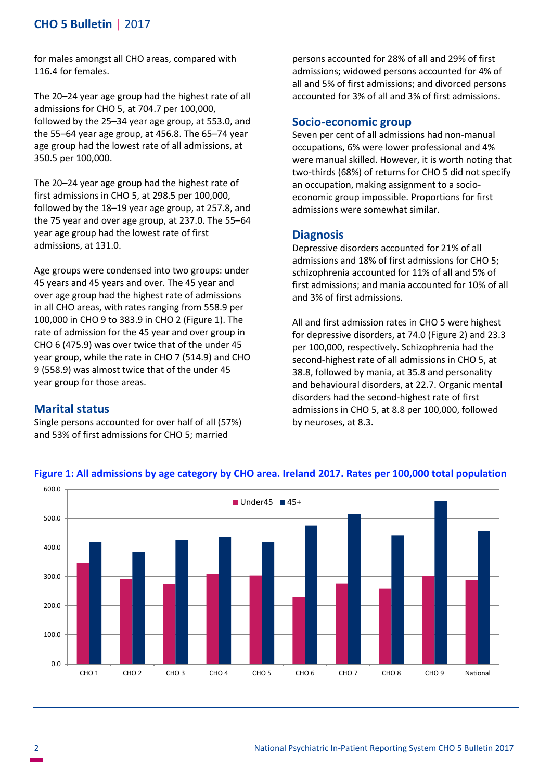## **CHO 5 Bulletin |** 2017

for males amongst all CHO areas, compared with 116.4 for females.

The 20–24 year age group had the highest rate of all admissions for CHO 5, at 704.7 per 100,000, followed by the 25–34 year age group, at 553.0, and the 55–64 year age group, at 456.8. The 65–74 year age group had the lowest rate of all admissions, at 350.5 per 100,000.

The 20–24 year age group had the highest rate of first admissions in CHO 5, at 298.5 per 100,000, followed by the 18–19 year age group, at 257.8, and the 75 year and over age group, at 237.0. The 55–64 year age group had the lowest rate of first admissions, at 131.0.

Age groups were condensed into two groups: under 45 years and 45 years and over. The 45 year and over age group had the highest rate of admissions in all CHO areas, with rates ranging from 558.9 per 100,000 in CHO 9 to 383.9 in CHO 2 (Figure 1). The rate of admission for the 45 year and over group in CHO 6 (475.9) was over twice that of the under 45 year group, while the rate in CHO 7 (514.9) and CHO 9 (558.9) was almost twice that of the under 45 year group for those areas.

### **Marital status**

Single persons accounted for over half of all (57%) and 53% of first admissions for CHO 5; married

persons accounted for 28% of all and 29% of first admissions; widowed persons accounted for 4% of all and 5% of first admissions; and divorced persons accounted for 3% of all and 3% of first admissions.

#### **Socio-economic group**

Seven per cent of all admissions had non-manual occupations, 6% were lower professional and 4% were manual skilled. However, it is worth noting that two-thirds (68%) of returns for CHO 5 did not specify an occupation, making assignment to a socioeconomic group impossible. Proportions for first admissions were somewhat similar.

#### **Diagnosis**

Depressive disorders accounted for 21% of all admissions and 18% of first admissions for CHO 5; schizophrenia accounted for 11% of all and 5% of first admissions; and mania accounted for 10% of all and 3% of first admissions.

All and first admission rates in CHO 5 were highest for depressive disorders, at 74.0 (Figure 2) and 23.3 per 100,000, respectively. Schizophrenia had the second-highest rate of all admissions in CHO 5, at 38.8, followed by mania, at 35.8 and personality and behavioural disorders, at 22.7. Organic mental disorders had the second-highest rate of first admissions in CHO 5, at 8.8 per 100,000, followed by neuroses, at 8.3.



#### **Figure 1: All admissions by age category by CHO area. Ireland 2017. Rates per 100,000 total population**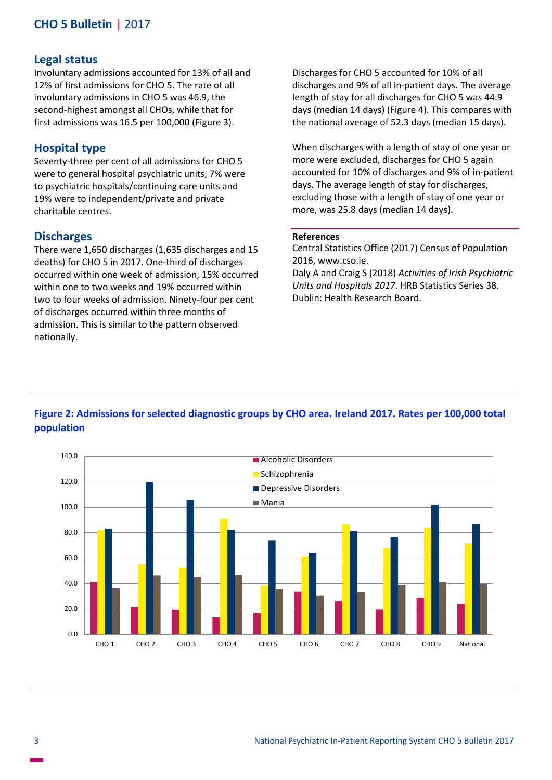## **CHO 5 Bulletin |** 2017

#### **Legal status**

Involuntary admissions accounted for 13% of all and 12% of first admissions for CHO 5. The rate of all involuntary admissions in CHO 5 was 46.9, the second-highest amongst all CHOs, while that for first admissions was 16.5 per 100,000 (Figure 3).

#### **Hospital type**

Seventy-three per cent of all admissions for CHO 5 were to general hospital psychiatric units, 7% were to psychiatric hospitals/continuing care units and 19% were to independent/private and private charitable centres.

#### **Discharges**

There were 1,650 discharges (1,635 discharges and 15 deaths) for CHO 5 in 2017. One-third of discharges occurred within one week of admission, 15% occurred within one to two weeks and 19% occurred within two to four weeks of admission. Ninety-four per cent of discharges occurred within three months of admission. This is similar to the pattern observed nationally.

Discharges for CHO 5 accounted for 10% of all discharges and 9% of all in-patient days. The average length of stay for all discharges for CHO 5 was 44.9 days (median 14 days) (Figure 4). This compares with the national average of 52.3 days (median 15 days).

When discharges with a length of stay of one year or more were excluded, discharges for CHO 5 again accounted for 10% of discharges and 9% of in-patient days. The average length of stay for discharges, excluding those with a length of stay of one year or more, was 25.8 days (median 14 days).

#### **References**

Central Statistics Office (2017) Census of Population 2016, www.cso.ie.

Daly A and Craig S (2018) *Activities of Irish Psychiatric Units and Hospitals 2017*. HRB Statistics Series 38. Dublin: Health Research Board.



## **Figure 2: Admissions for selected diagnostic groups by CHO area. Ireland 2017. Rates per 100,000 total population**